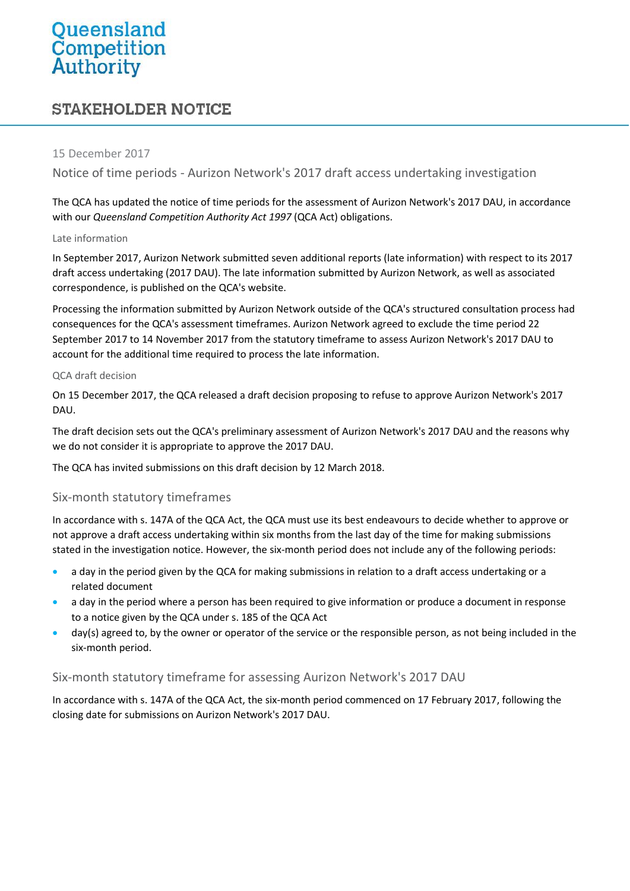# Queensland<br>Competition<br>Authority

# **STAKEHOLDER NOTICE**

### 15 December 2017

Notice of time periods - Aurizon Network's 2017 draft access undertaking investigation

The QCA has updated the notice of time periods for the assessment of Aurizon Network's 2017 DAU, in accordance with our *Queensland Competition Authority Act 1997* (QCA Act) obligations.

#### Late information

In September 2017, Aurizon Network submitted seven additional reports (late information) with respect to its 2017 draft access undertaking (2017 DAU). The late information submitted by Aurizon Network, as well as associated correspondence, is published on the QCA's website.

Processing the information submitted by Aurizon Network outside of the QCA's structured consultation process had consequences for the QCA's assessment timeframes. Aurizon Network agreed to exclude the time period 22 September 2017 to 14 November 2017 from the statutory timeframe to assess Aurizon Network's 2017 DAU to account for the additional time required to process the late information.

#### QCA draft decision

On 15 December 2017, the QCA released a draft decision proposing to refuse to approve Aurizon Network's 2017 DAU.

The draft decision sets out the QCA's preliminary assessment of Aurizon Network's 2017 DAU and the reasons why we do not consider it is appropriate to approve the 2017 DAU.

The QCA has invited submissions on this draft decision by 12 March 2018.

# Six-month statutory timeframes

In accordance with s. 147A of the QCA Act, the QCA must use its best endeavours to decide whether to approve or not approve a draft access undertaking within six months from the last day of the time for making submissions stated in the investigation notice. However, the six-month period does not include any of the following periods:

- a day in the period given by the QCA for making submissions in relation to a draft access undertaking or a related document
- a day in the period where a person has been required to give information or produce a document in response to a notice given by the QCA under s. 185 of the QCA Act
- day(s) agreed to, by the owner or operator of the service or the responsible person, as not being included in the six-month period.

# Six-month statutory timeframe for assessing Aurizon Network's 2017 DAU

In accordance with s. 147A of the QCA Act, the six-month period commenced on 17 February 2017, following the closing date for submissions on Aurizon Network's 2017 DAU.